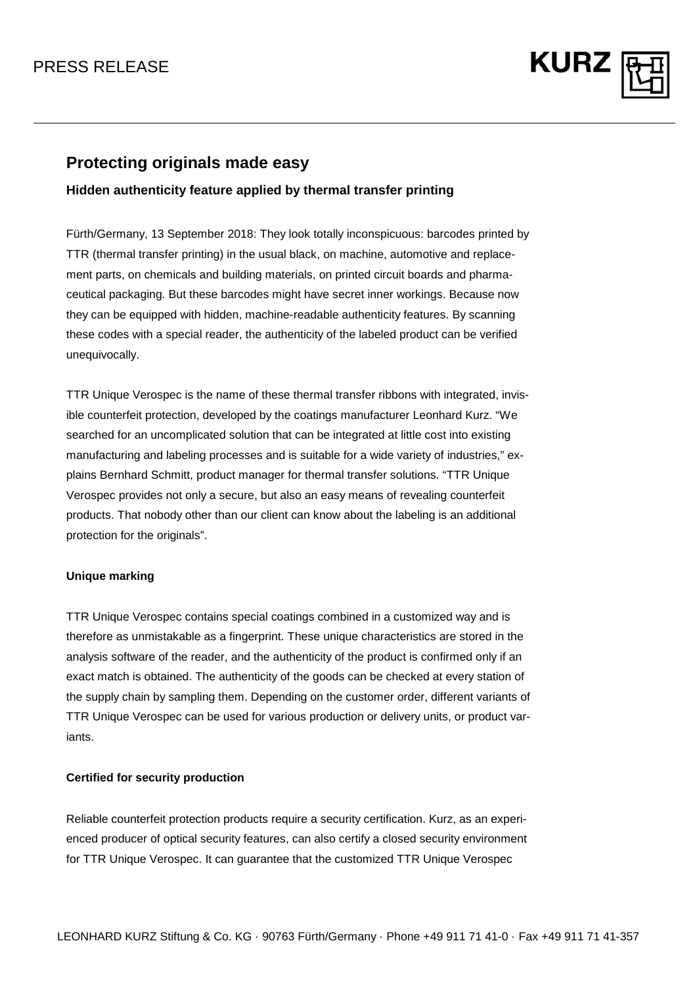## PRESS RELEASE



### **Protecting originals made easy**

### **Hidden authenticity feature applied by thermal transfer printing**

Fürth/Germany, 13 September 2018: They look totally inconspicuous: barcodes printed by TTR (thermal transfer printing) in the usual black, on machine, automotive and replacement parts, on chemicals and building materials, on printed circuit boards and pharmaceutical packaging. But these barcodes might have secret inner workings. Because now they can be equipped with hidden, machine-readable authenticity features. By scanning these codes with a special reader, the authenticity of the labeled product can be verified unequivocally.

TTR Unique Verospec is the name of these thermal transfer ribbons with integrated, invisible counterfeit protection, developed by the coatings manufacturer Leonhard Kurz. "We searched for an uncomplicated solution that can be integrated at little cost into existing manufacturing and labeling processes and is suitable for a wide variety of industries," explains Bernhard Schmitt, product manager for thermal transfer solutions. "TTR Unique Verospec provides not only a secure, but also an easy means of revealing counterfeit products. That nobody other than our client can know about the labeling is an additional protection for the originals".

### **Unique marking**

TTR Unique Verospec contains special coatings combined in a customized way and is therefore as unmistakable as a fingerprint. These unique characteristics are stored in the analysis software of the reader, and the authenticity of the product is confirmed only if an exact match is obtained. The authenticity of the goods can be checked at every station of the supply chain by sampling them. Depending on the customer order, different variants of TTR Unique Verospec can be used for various production or delivery units, or product variants.

#### **Certified for security production**

Reliable counterfeit protection products require a security certification. Kurz, as an experienced producer of optical security features, can also certify a closed security environment for TTR Unique Verospec. It can guarantee that the customized TTR Unique Verospec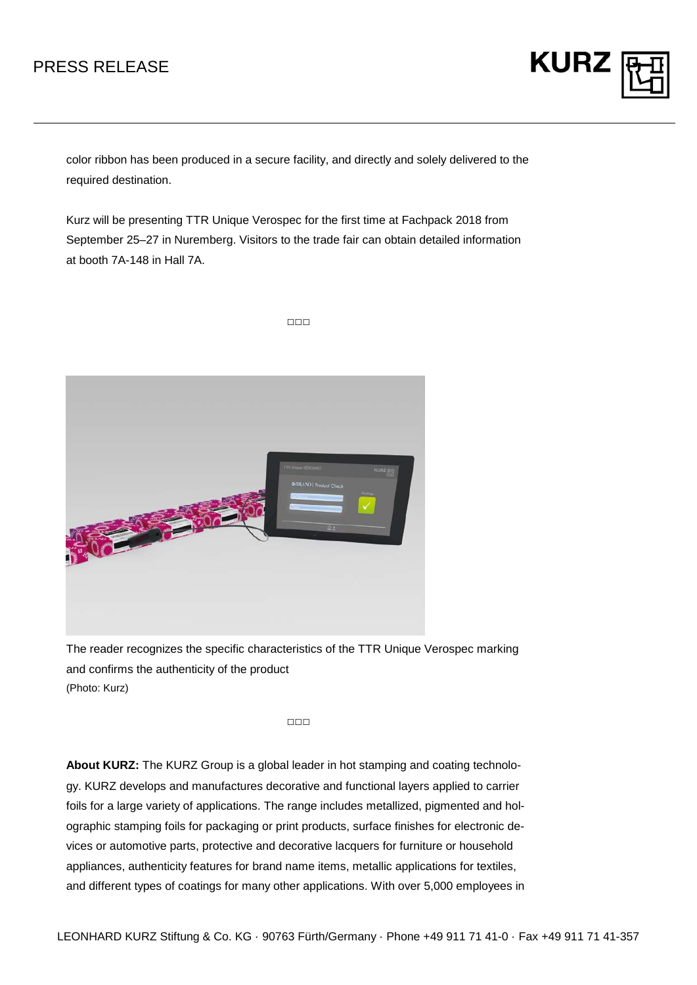# PRESS RELEASE



color ribbon has been produced in a secure facility, and directly and solely delivered to the required destination.

Kurz will be presenting TTR Unique Verospec for the first time at Fachpack 2018 from September 25–27 in Nuremberg. Visitors to the trade fair can obtain detailed information at booth 7A-148 in Hall 7A.

□□□



The reader recognizes the specific characteristics of the TTR Unique Verospec marking and confirms the authenticity of the product (Photo: Kurz)

□□□

**About KURZ:** The KURZ Group is a global leader in hot stamping and coating technology. KURZ develops and manufactures decorative and functional layers applied to carrier foils for a large variety of applications. The range includes metallized, pigmented and holographic stamping foils for packaging or print products, surface finishes for electronic devices or automotive parts, protective and decorative lacquers for furniture or household appliances, authenticity features for brand name items, metallic applications for textiles, and different types of coatings for many other applications. With over 5,000 employees in